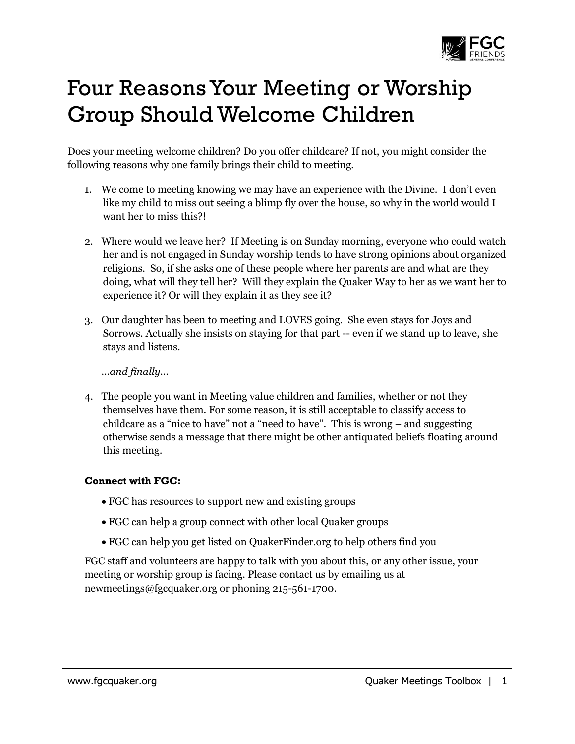

## Four Reasons Your Meeting or Worship Group Should Welcome Children

Does your meeting welcome children? Do you offer childcare? If not, you might consider the following reasons why one family brings their child to meeting.

- 1. We come to meeting knowing we may have an experience with the Divine. I don't even like my child to miss out seeing a blimp fly over the house, so why in the world would I want her to miss this?!
- 2. Where would we leave her? If Meeting is on Sunday morning, everyone who could watch her and is not engaged in Sunday worship tends to have strong opinions about organized religions. So, if she asks one of these people where her parents are and what are they doing, what will they tell her? Will they explain the Quaker Way to her as we want her to experience it? Or will they explain it as they see it?
- 3. Our daughter has been to meeting and LOVES going. She even stays for Joys and Sorrows. Actually she insists on staying for that part -- even if we stand up to leave, she stays and listens.

*…and finally…*

4. The people you want in Meeting value children and families, whether or not they themselves have them. For some reason, it is still acceptable to classify access to childcare as a "nice to have" not a "need to have". This is wrong – and suggesting otherwise sends a message that there might be other antiquated beliefs floating around this meeting.

## **Connect with FGC:**

- FGC has resources to support new and existing groups
- FGC can help a group connect with other local Quaker groups
- FGC can help you get listed on QuakerFinder.org to help others find you

FGC staff and volunteers are happy to talk with you about this, or any other issue, your meeting or worship group is facing. Please contact us by emailing us at newmeetings@fgcquaker.org or phoning 215-561-1700.